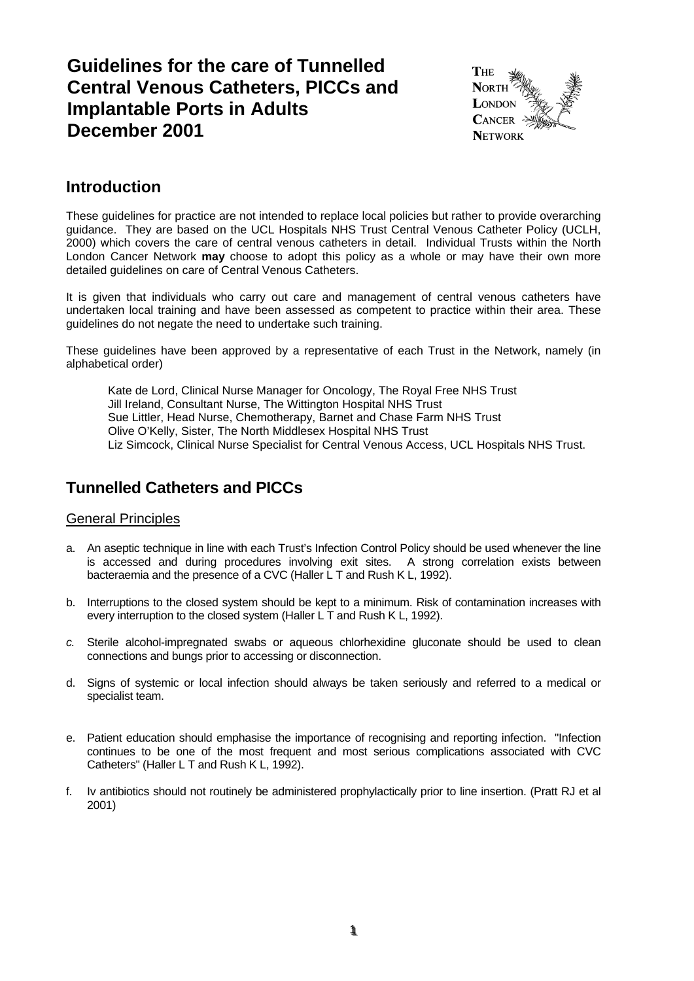# **Guidelines for the care of Tunnelled Central Venous Catheters, PICCs and Implantable Ports in Adults December 2001**



## **Introduction**

These guidelines for practice are not intended to replace local policies but rather to provide overarching guidance. They are based on the UCL Hospitals NHS Trust Central Venous Catheter Policy (UCLH, 2000) which covers the care of central venous catheters in detail. Individual Trusts within the North London Cancer Network **may** choose to adopt this policy as a whole or may have their own more detailed guidelines on care of Central Venous Catheters.

It is given that individuals who carry out care and management of central venous catheters have undertaken local training and have been assessed as competent to practice within their area. These guidelines do not negate the need to undertake such training.

These guidelines have been approved by a representative of each Trust in the Network, namely (in alphabetical order)

Kate de Lord, Clinical Nurse Manager for Oncology, The Royal Free NHS Trust Jill Ireland, Consultant Nurse, The Wittington Hospital NHS Trust Sue Littler, Head Nurse, Chemotherapy, Barnet and Chase Farm NHS Trust Olive O'Kelly, Sister, The North Middlesex Hospital NHS Trust Liz Simcock, Clinical Nurse Specialist for Central Venous Access, UCL Hospitals NHS Trust.

## **Tunnelled Catheters and PICCs**

## General Principles

- a. An aseptic technique in line with each Trust's Infection Control Policy should be used whenever the line is accessed and during procedures involving exit sites. A strong correlation exists between bacteraemia and the presence of a CVC (Haller L T and Rush K L, 1992).
- b. Interruptions to the closed system should be kept to a minimum. Risk of contamination increases with every interruption to the closed system (Haller L T and Rush K L, 1992).
- *c.* Sterile alcohol-impregnated swabs or aqueous chlorhexidine gluconate should be used to clean connections and bungs prior to accessing or disconnection.
- d. Signs of systemic or local infection should always be taken seriously and referred to a medical or specialist team.
- e. Patient education should emphasise the importance of recognising and reporting infection. "Infection continues to be one of the most frequent and most serious complications associated with CVC Catheters" (Haller L T and Rush K L, 1992).
- f. Iv antibiotics should not routinely be administered prophylactically prior to line insertion. (Pratt RJ et al 2001)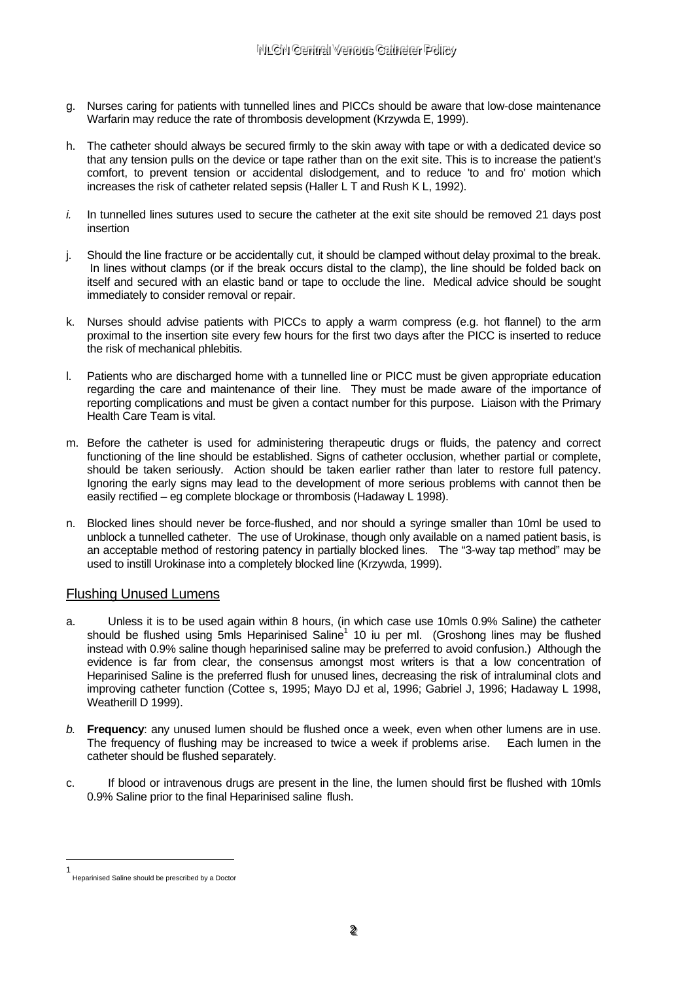- g. Nurses caring for patients with tunnelled lines and PICCs should be aware that low-dose maintenance Warfarin may reduce the rate of thrombosis development (Krzywda E, 1999).
- h. The catheter should always be secured firmly to the skin away with tape or with a dedicated device so that any tension pulls on the device or tape rather than on the exit site. This is to increase the patient's comfort, to prevent tension or accidental dislodgement, and to reduce 'to and fro' motion which increases the risk of catheter related sepsis (Haller L T and Rush K L, 1992).
- *i.* In tunnelled lines sutures used to secure the catheter at the exit site should be removed 21 days post insertion
- j. Should the line fracture or be accidentally cut, it should be clamped without delay proximal to the break. In lines without clamps (or if the break occurs distal to the clamp), the line should be folded back on itself and secured with an elastic band or tape to occlude the line. Medical advice should be sought immediately to consider removal or repair.
- k. Nurses should advise patients with PICCs to apply a warm compress (e.g. hot flannel) to the arm proximal to the insertion site every few hours for the first two days after the PICC is inserted to reduce the risk of mechanical phlebitis.
- Patients who are discharged home with a tunnelled line or PICC must be given appropriate education regarding the care and maintenance of their line. They must be made aware of the importance of reporting complications and must be given a contact number for this purpose. Liaison with the Primary Health Care Team is vital.
- m. Before the catheter is used for administering therapeutic drugs or fluids, the patency and correct functioning of the line should be established. Signs of catheter occlusion, whether partial or complete, should be taken seriously. Action should be taken earlier rather than later to restore full patency. Ignoring the early signs may lead to the development of more serious problems with cannot then be easily rectified – eg complete blockage or thrombosis (Hadaway L 1998).
- n. Blocked lines should never be force-flushed, and nor should a syringe smaller than 10ml be used to unblock a tunnelled catheter. The use of Urokinase, though only available on a named patient basis, is an acceptable method of restoring patency in partially blocked lines. The "3-way tap method" may be used to instill Urokinase into a completely blocked line (Krzywda, 1999).

## Flushing Unused Lumens

- a. Unless it is to be used again within 8 hours, (in which case use 10mls 0.9% Saline) the catheter should be flushed using 5mls Heparinised Saline<sup>1</sup> 10 iu per ml. (Groshong lines may be flushed instead with 0.9% saline though heparinised saline may be preferred to avoid confusion.) Although the evidence is far from clear, the consensus amongst most writers is that a low concentration of Heparinised Saline is the preferred flush for unused lines, decreasing the risk of intraluminal clots and improving catheter function (Cottee s, 1995; Mayo DJ et al, 1996; Gabriel J, 1996; Hadaway L 1998, Weatherill D 1999).
- *b.* **Frequency**: any unused lumen should be flushed once a week, even when other lumens are in use. The frequency of flushing may be increased to twice a week if problems arise. Each lumen in the catheter should be flushed separately.
- c. If blood or intravenous drugs are present in the line, the lumen should first be flushed with 10mls 0.9% Saline prior to the final Heparinised saline flush.

i<br>Li

<sup>1</sup> Heparinised Saline should be prescribed by a Doctor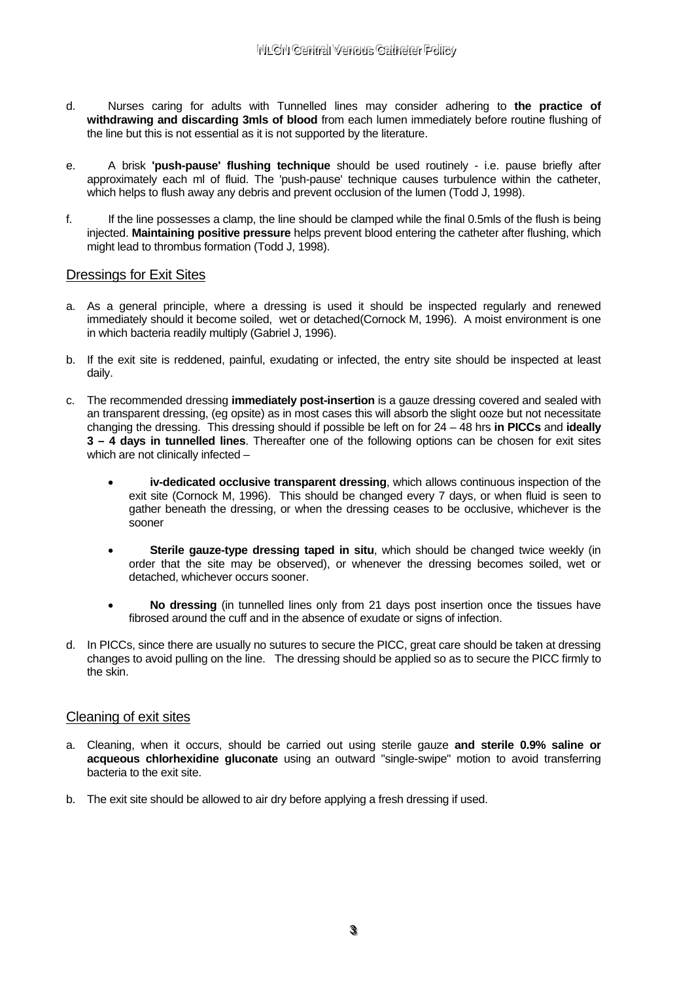- d. Nurses caring for adults with Tunnelled lines may consider adhering to **the practice of withdrawing and discarding 3mls of blood** from each lumen immediately before routine flushing of the line but this is not essential as it is not supported by the literature.
- e. A brisk **'push-pause' flushing technique** should be used routinely i.e. pause briefly after approximately each ml of fluid. The 'push-pause' technique causes turbulence within the catheter, which helps to flush away any debris and prevent occlusion of the lumen (Todd J, 1998).
- f. If the line possesses a clamp, the line should be clamped while the final 0.5mls of the flush is being injected. **Maintaining positive pressure** helps prevent blood entering the catheter after flushing, which might lead to thrombus formation (Todd J, 1998).

## Dressings for Exit Sites

- a. As a general principle, where a dressing is used it should be inspected regularly and renewed immediately should it become soiled, wet or detached(Cornock M, 1996). A moist environment is one in which bacteria readily multiply (Gabriel J, 1996).
- b. If the exit site is reddened, painful, exudating or infected, the entry site should be inspected at least daily.
- c. The recommended dressing **immediately post-insertion** is a gauze dressing covered and sealed with an transparent dressing, (eg opsite) as in most cases this will absorb the slight ooze but not necessitate changing the dressing. This dressing should if possible be left on for 24 – 48 hrs **in PICCs** and **ideally 3 – 4 days in tunnelled lines**. Thereafter one of the following options can be chosen for exit sites which are not clinically infected -
	- **iv-dedicated occlusive transparent dressing**, which allows continuous inspection of the exit site (Cornock M, 1996). This should be changed every 7 days, or when fluid is seen to gather beneath the dressing, or when the dressing ceases to be occlusive, whichever is the sooner
	- **Sterile gauze-type dressing taped in situ**, which should be changed twice weekly (in order that the site may be observed), or whenever the dressing becomes soiled, wet or detached, whichever occurs sooner.
	- **No dressing** (in tunnelled lines only from 21 days post insertion once the tissues have fibrosed around the cuff and in the absence of exudate or signs of infection.
- d. In PICCs, since there are usually no sutures to secure the PICC, great care should be taken at dressing changes to avoid pulling on the line. The dressing should be applied so as to secure the PICC firmly to the skin.

## Cleaning of exit sites

- a. Cleaning, when it occurs, should be carried out using sterile gauze **and sterile 0.9% saline or acqueous chlorhexidine gluconate** using an outward "single-swipe" motion to avoid transferring bacteria to the exit site.
- b. The exit site should be allowed to air dry before applying a fresh dressing if used.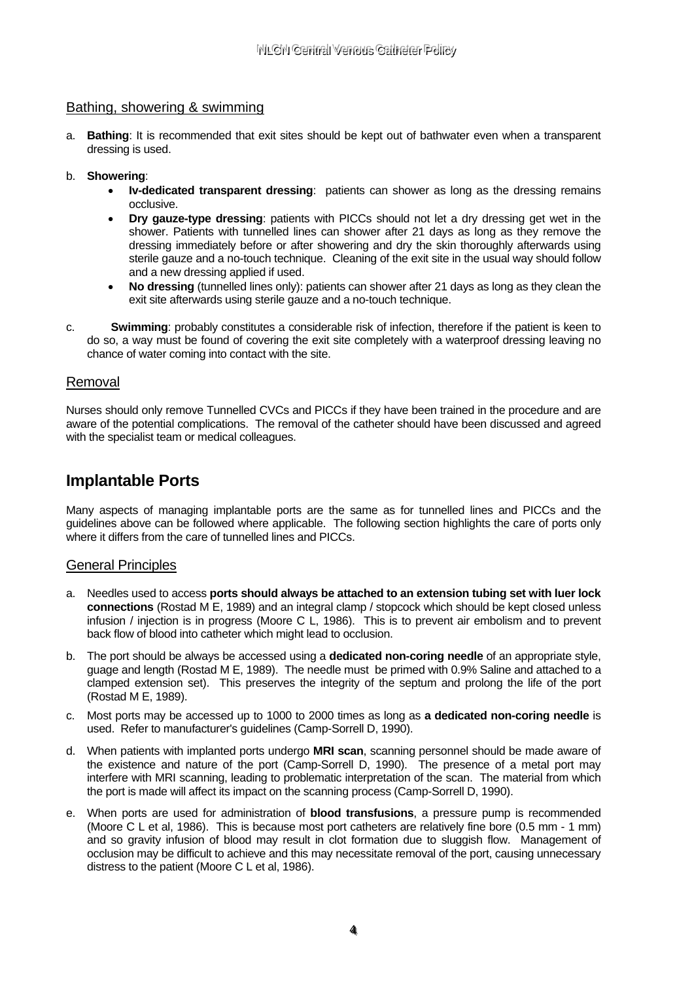## Bathing, showering & swimming

a. **Bathing**: It is recommended that exit sites should be kept out of bathwater even when a transparent dressing is used.

#### b. **Showering**:

- **Iv-dedicated transparent dressing**: patients can shower as long as the dressing remains occlusive.
- **Dry gauze-type dressing**: patients with PICCs should not let a dry dressing get wet in the shower. Patients with tunnelled lines can shower after 21 days as long as they remove the dressing immediately before or after showering and dry the skin thoroughly afterwards using sterile gauze and a no-touch technique. Cleaning of the exit site in the usual way should follow and a new dressing applied if used.
- **No dressing** (tunnelled lines only): patients can shower after 21 days as long as they clean the exit site afterwards using sterile gauze and a no-touch technique.
- c. **Swimming**: probably constitutes a considerable risk of infection, therefore if the patient is keen to do so, a way must be found of covering the exit site completely with a waterproof dressing leaving no chance of water coming into contact with the site.

## Removal

Nurses should only remove Tunnelled CVCs and PICCs if they have been trained in the procedure and are aware of the potential complications. The removal of the catheter should have been discussed and agreed with the specialist team or medical colleagues.

## **Implantable Ports**

Many aspects of managing implantable ports are the same as for tunnelled lines and PICCs and the guidelines above can be followed where applicable. The following section highlights the care of ports only where it differs from the care of tunnelled lines and PICCs.

## General Principles

- a. Needles used to access **ports should always be attached to an extension tubing set with luer lock connections** (Rostad M E, 1989) and an integral clamp / stopcock which should be kept closed unless infusion / injection is in progress (Moore C L, 1986). This is to prevent air embolism and to prevent back flow of blood into catheter which might lead to occlusion.
- b. The port should be always be accessed using a **dedicated non-coring needle** of an appropriate style, guage and length (Rostad M E, 1989). The needle must be primed with 0.9% Saline and attached to a clamped extension set). This preserves the integrity of the septum and prolong the life of the port (Rostad M E, 1989).
- c. Most ports may be accessed up to 1000 to 2000 times as long as **a dedicated non-coring needle** is used. Refer to manufacturer's guidelines (Camp-Sorrell D, 1990).
- d. When patients with implanted ports undergo **MRI scan**, scanning personnel should be made aware of the existence and nature of the port (Camp-Sorrell D, 1990). The presence of a metal port may interfere with MRI scanning, leading to problematic interpretation of the scan. The material from which the port is made will affect its impact on the scanning process (Camp-Sorrell D, 1990).
- e. When ports are used for administration of **blood transfusions**, a pressure pump is recommended (Moore C L et al, 1986). This is because most port catheters are relatively fine bore (0.5 mm - 1 mm) and so gravity infusion of blood may result in clot formation due to sluggish flow. Management of occlusion may be difficult to achieve and this may necessitate removal of the port, causing unnecessary distress to the patient (Moore C L et al, 1986).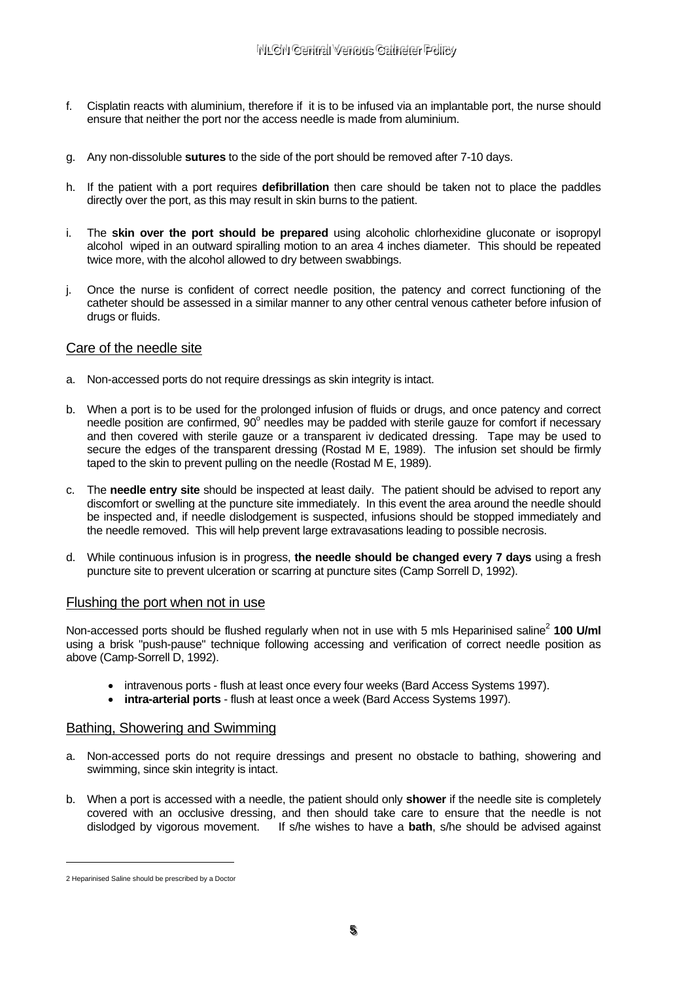- f. Cisplatin reacts with aluminium, therefore if it is to be infused via an implantable port, the nurse should ensure that neither the port nor the access needle is made from aluminium.
- g. Any non-dissoluble **sutures** to the side of the port should be removed after 7-10 days.
- h. If the patient with a port requires **defibrillation** then care should be taken not to place the paddles directly over the port, as this may result in skin burns to the patient.
- i. The **skin over the port should be prepared** using alcoholic chlorhexidine gluconate or isopropyl alcohol wiped in an outward spiralling motion to an area 4 inches diameter. This should be repeated twice more, with the alcohol allowed to dry between swabbings.
- j. Once the nurse is confident of correct needle position, the patency and correct functioning of the catheter should be assessed in a similar manner to any other central venous catheter before infusion of drugs or fluids.

#### Care of the needle site

- a. Non-accessed ports do not require dressings as skin integrity is intact.
- b. When a port is to be used for the prolonged infusion of fluids or drugs, and once patency and correct needle position are confirmed, 90° needles may be padded with sterile gauze for comfort if necessary and then covered with sterile gauze or a transparent iv dedicated dressing. Tape may be used to secure the edges of the transparent dressing (Rostad M E, 1989). The infusion set should be firmly taped to the skin to prevent pulling on the needle (Rostad M E, 1989).
- c. The **needle entry site** should be inspected at least daily. The patient should be advised to report any discomfort or swelling at the puncture site immediately. In this event the area around the needle should be inspected and, if needle dislodgement is suspected, infusions should be stopped immediately and the needle removed. This will help prevent large extravasations leading to possible necrosis.
- d. While continuous infusion is in progress, **the needle should be changed every 7 days** using a fresh puncture site to prevent ulceration or scarring at puncture sites (Camp Sorrell D, 1992).

#### Flushing the port when not in use

Non-accessed ports should be flushed regularly when not in use with 5 mls Heparinised saline<sup>2</sup> 100 U/ml using a brisk "push-pause" technique following accessing and verification of correct needle position as above (Camp-Sorrell D, 1992).

- intravenous ports flush at least once every four weeks (Bard Access Systems 1997).
- **intra-arterial ports** flush at least once a week (Bard Access Systems 1997).

#### Bathing, Showering and Swimming

- a. Non-accessed ports do not require dressings and present no obstacle to bathing, showering and swimming, since skin integrity is intact.
- b. When a port is accessed with a needle, the patient should only **shower** if the needle site is completely covered with an occlusive dressing, and then should take care to ensure that the needle is not dislodged by vigorous movement. If s/he wishes to have a **bath**, s/he should be advised against

i<br>Li

<sup>2</sup> Heparinised Saline should be prescribed by a Doctor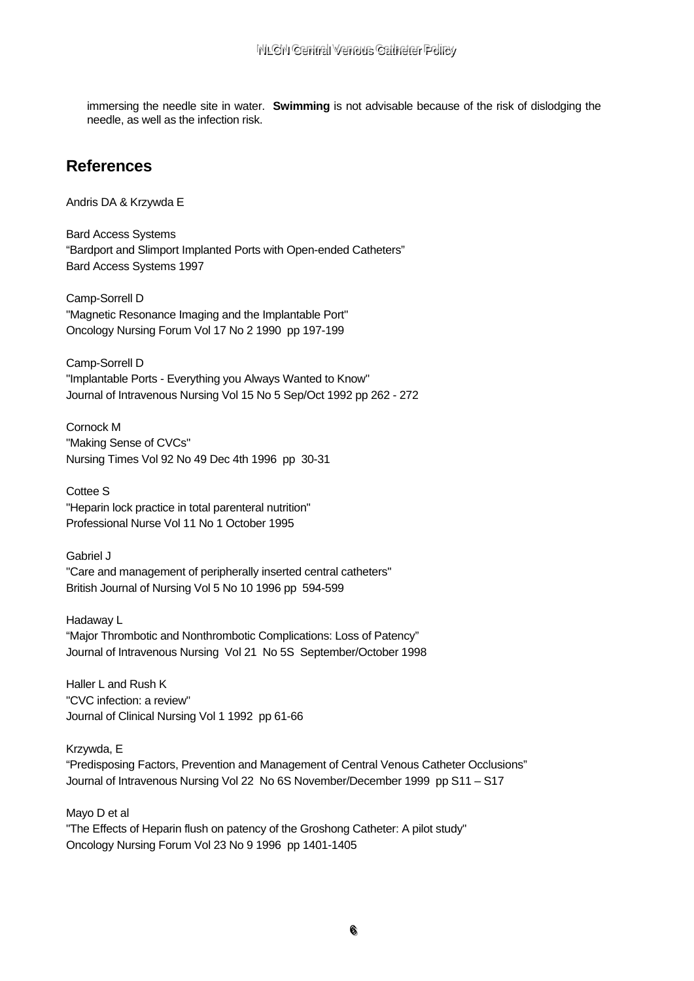immersing the needle site in water. Swimming is not advisable because of the risk of dislodging the needle, as well as the infection risk.

## **References**

Andris DA & Krzywda E

**Bard Access Systems** "Bardport and Slimport Implanted Ports with Open-ended Catheters" Bard Access Systems 1997

Camp-Sorrell D "Magnetic Resonance Imaging and the Implantable Port" Oncology Nursing Forum Vol 17 No 2 1990 pp 197-199

Camp-Sorrell D "Implantable Ports - Everything you Always Wanted to Know" Journal of Intravenous Nursing Vol 15 No 5 Sep/Oct 1992 pp 262 - 272

Cornock M "Making Sense of CVCs" Nursing Times Vol 92 No 49 Dec 4th 1996 pp 30-31

Cottee S "Heparin lock practice in total parenteral nutrition" Professional Nurse Vol 11 No 1 October 1995

Gabriel J "Care and management of peripherally inserted central catheters" British Journal of Nursing Vol 5 No 10 1996 pp 594-599

Hadaway L "Major Thrombotic and Nonthrombotic Complications: Loss of Patency" Journal of Intravenous Nursing Vol 21 No 5S September/October 1998

Haller Land Rush K "CVC infection: a review" Journal of Clinical Nursing Vol 1 1992 pp 61-66

Krzywda, E

"Predisposing Factors, Prevention and Management of Central Venous Catheter Occlusions" Journal of Intravenous Nursing Vol 22 No 6S November/December 1999 pp S11 - S17

Mayo D et al

"The Effects of Heparin flush on patency of the Groshong Catheter: A pilot study" Oncology Nursing Forum Vol 23 No 9 1996 pp 1401-1405